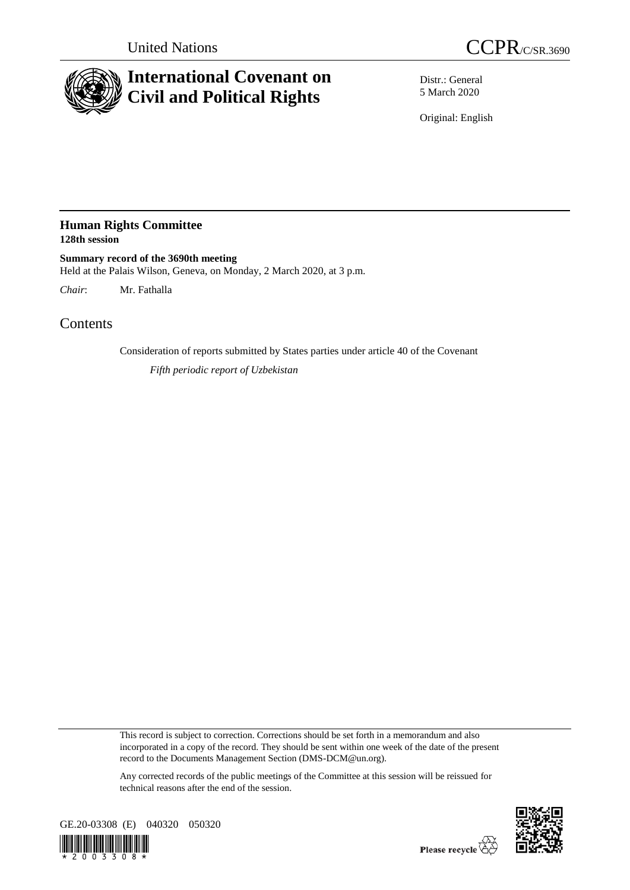

## **International Covenant on Civil and Political Rights**

Distr.: General 5 March 2020

Original: English

## **Human Rights Committee 128th session**

**Summary record of the 3690th meeting** Held at the Palais Wilson, Geneva, on Monday, 2 March 2020, at 3 p.m.

*Chair*: Mr. Fathalla

**Contents** 

Consideration of reports submitted by States parties under article 40 of the Covenant

*Fifth periodic report of Uzbekistan*

This record is subject to correction. Corrections should be set forth in a memorandum and also incorporated in a copy of the record. They should be sent within one week of the date of the present record to the Documents Management Section (DMS-DCM@un.org).

Any corrected records of the public meetings of the Committee at this session will be reissued for technical reasons after the end of the session.



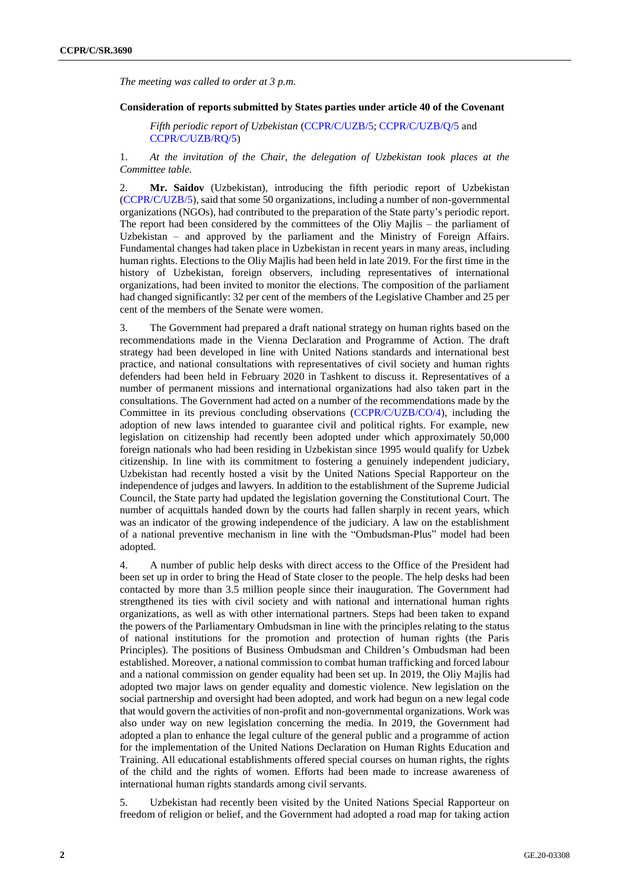*The meeting was called to order at 3 p.m.*

## **Consideration of reports submitted by States parties under article 40 of the Covenant**

*Fifth periodic report of Uzbekistan* [\(CCPR/C/UZB/5;](http://undocs.org/en/CCPR/C/UZB/5) [CCPR/C/UZB/Q/5](http://undocs.org/en/CCPR/C/UZB/Q/5) and [CCPR/C/UZB/RQ/5\)](http://undocs.org/en/CCPR/C/UZB/RQ/5)

1. *At the invitation of the Chair, the delegation of Uzbekistan took places at the Committee table.*

2. **Mr. Saidov** (Uzbekistan), introducing the fifth periodic report of Uzbekistan [\(CCPR/C/UZB/5\)](http://undocs.org/en/CCPR/C/UZB/5), said that some 50 organizations, including a number of non-governmental organizations (NGOs), had contributed to the preparation of the State party's periodic report. The report had been considered by the committees of the Oliy Majlis – the parliament of Uzbekistan – and approved by the parliament and the Ministry of Foreign Affairs. Fundamental changes had taken place in Uzbekistan in recent years in many areas, including human rights. Elections to the Oliy Majlis had been held in late 2019. For the first time in the history of Uzbekistan, foreign observers, including representatives of international organizations, had been invited to monitor the elections. The composition of the parliament had changed significantly: 32 per cent of the members of the Legislative Chamber and 25 per cent of the members of the Senate were women.

3. The Government had prepared a draft national strategy on human rights based on the recommendations made in the Vienna Declaration and Programme of Action. The draft strategy had been developed in line with United Nations standards and international best practice, and national consultations with representatives of civil society and human rights defenders had been held in February 2020 in Tashkent to discuss it. Representatives of a number of permanent missions and international organizations had also taken part in the consultations. The Government had acted on a number of the recommendations made by the Committee in its previous concluding observations [\(CCPR/C/UZB/CO/4\)](http://undocs.org/en/CCPR/C/UZB/CO/4), including the adoption of new laws intended to guarantee civil and political rights. For example, new legislation on citizenship had recently been adopted under which approximately 50,000 foreign nationals who had been residing in Uzbekistan since 1995 would qualify for Uzbek citizenship. In line with its commitment to fostering a genuinely independent judiciary, Uzbekistan had recently hosted a visit by the United Nations Special Rapporteur on the independence of judges and lawyers. In addition to the establishment of the Supreme Judicial Council, the State party had updated the legislation governing the Constitutional Court. The number of acquittals handed down by the courts had fallen sharply in recent years, which was an indicator of the growing independence of the judiciary. A law on the establishment of a national preventive mechanism in line with the "Ombudsman-Plus" model had been adopted.

4. A number of public help desks with direct access to the Office of the President had been set up in order to bring the Head of State closer to the people. The help desks had been contacted by more than 3.5 million people since their inauguration. The Government had strengthened its ties with civil society and with national and international human rights organizations, as well as with other international partners. Steps had been taken to expand the powers of the Parliamentary Ombudsman in line with the principles relating to the status of national institutions for the promotion and protection of human rights (the Paris Principles). The positions of Business Ombudsman and Children's Ombudsman had been established. Moreover, a national commission to combat human trafficking and forced labour and a national commission on gender equality had been set up. In 2019, the Oliy Majlis had adopted two major laws on gender equality and domestic violence. New legislation on the social partnership and oversight had been adopted, and work had begun on a new legal code that would govern the activities of non-profit and non-governmental organizations. Work was also under way on new legislation concerning the media. In 2019, the Government had adopted a plan to enhance the legal culture of the general public and a programme of action for the implementation of the United Nations Declaration on Human Rights Education and Training. All educational establishments offered special courses on human rights, the rights of the child and the rights of women. Efforts had been made to increase awareness of international human rights standards among civil servants.

5. Uzbekistan had recently been visited by the United Nations Special Rapporteur on freedom of religion or belief, and the Government had adopted a road map for taking action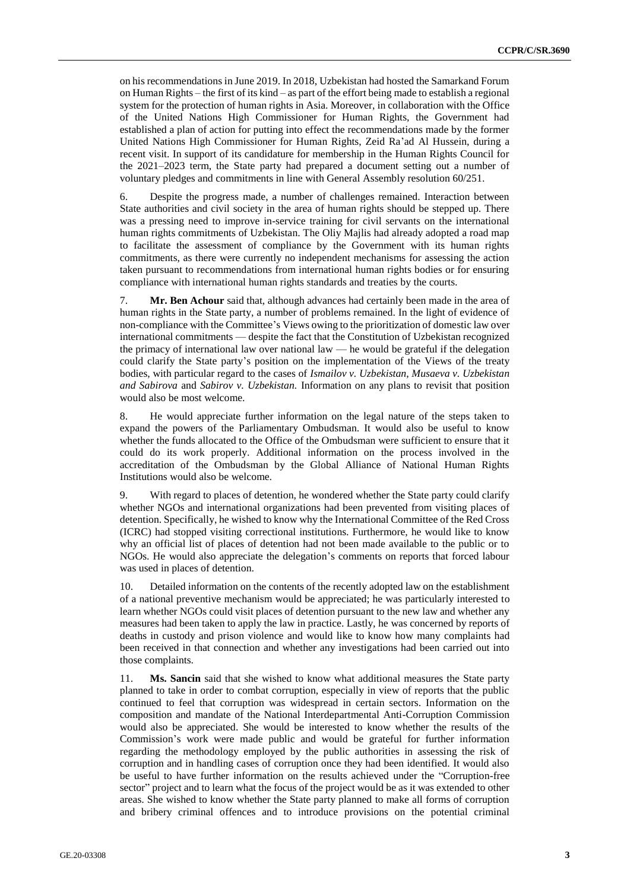on his recommendations in June 2019. In 2018, Uzbekistan had hosted the Samarkand Forum on Human Rights – the first of its kind – as part of the effort being made to establish a regional system for the protection of human rights in Asia. Moreover, in collaboration with the Office of the United Nations High Commissioner for Human Rights, the Government had established a plan of action for putting into effect the recommendations made by the former United Nations High Commissioner for Human Rights, Zeid Ra'ad Al Hussein, during a recent visit. In support of its candidature for membership in the Human Rights Council for the 2021–2023 term, the State party had prepared a document setting out a number of voluntary pledges and commitments in line with General Assembly resolution 60/251.

6. Despite the progress made, a number of challenges remained. Interaction between State authorities and civil society in the area of human rights should be stepped up. There was a pressing need to improve in-service training for civil servants on the international human rights commitments of Uzbekistan. The Oliy Majlis had already adopted a road map to facilitate the assessment of compliance by the Government with its human rights commitments, as there were currently no independent mechanisms for assessing the action taken pursuant to recommendations from international human rights bodies or for ensuring compliance with international human rights standards and treaties by the courts.

7. **Mr. Ben Achour** said that, although advances had certainly been made in the area of human rights in the State party, a number of problems remained. In the light of evidence of non-compliance with the Committee's Views owing to the prioritization of domestic law over international commitments — despite the fact that the Constitution of Uzbekistan recognized the primacy of international law over national law — he would be grateful if the delegation could clarify the State party's position on the implementation of the Views of the treaty bodies, with particular regard to the cases of *Ismailov v. Uzbekistan*, *Musaeva v. Uzbekistan and Sabirova* and *Sabirov v. Uzbekistan.* Information on any plans to revisit that position would also be most welcome.

8. He would appreciate further information on the legal nature of the steps taken to expand the powers of the Parliamentary Ombudsman. It would also be useful to know whether the funds allocated to the Office of the Ombudsman were sufficient to ensure that it could do its work properly. Additional information on the process involved in the accreditation of the Ombudsman by the Global Alliance of National Human Rights Institutions would also be welcome.

9. With regard to places of detention, he wondered whether the State party could clarify whether NGOs and international organizations had been prevented from visiting places of detention. Specifically, he wished to know why the International Committee of the Red Cross (ICRC) had stopped visiting correctional institutions. Furthermore, he would like to know why an official list of places of detention had not been made available to the public or to NGOs. He would also appreciate the delegation's comments on reports that forced labour was used in places of detention.

10. Detailed information on the contents of the recently adopted law on the establishment of a national preventive mechanism would be appreciated; he was particularly interested to learn whether NGOs could visit places of detention pursuant to the new law and whether any measures had been taken to apply the law in practice. Lastly, he was concerned by reports of deaths in custody and prison violence and would like to know how many complaints had been received in that connection and whether any investigations had been carried out into those complaints.

11. **Ms. Sancin** said that she wished to know what additional measures the State party planned to take in order to combat corruption, especially in view of reports that the public continued to feel that corruption was widespread in certain sectors. Information on the composition and mandate of the National Interdepartmental Anti-Corruption Commission would also be appreciated. She would be interested to know whether the results of the Commission's work were made public and would be grateful for further information regarding the methodology employed by the public authorities in assessing the risk of corruption and in handling cases of corruption once they had been identified. It would also be useful to have further information on the results achieved under the "Corruption-free sector" project and to learn what the focus of the project would be as it was extended to other areas. She wished to know whether the State party planned to make all forms of corruption and bribery criminal offences and to introduce provisions on the potential criminal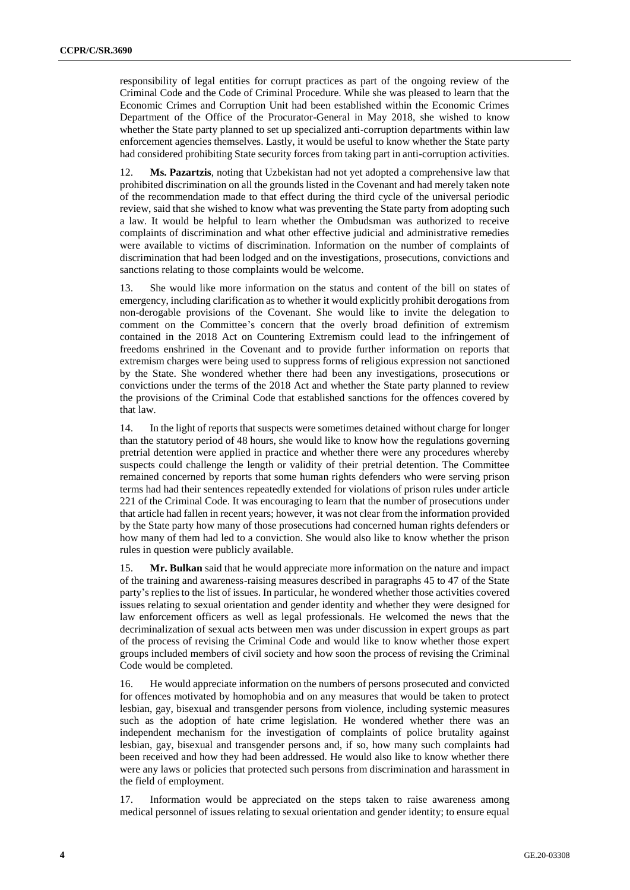responsibility of legal entities for corrupt practices as part of the ongoing review of the Criminal Code and the Code of Criminal Procedure. While she was pleased to learn that the Economic Crimes and Corruption Unit had been established within the Economic Crimes Department of the Office of the Procurator-General in May 2018, she wished to know whether the State party planned to set up specialized anti-corruption departments within law enforcement agencies themselves. Lastly, it would be useful to know whether the State party had considered prohibiting State security forces from taking part in anti-corruption activities.

12. **Ms. Pazartzis**, noting that Uzbekistan had not yet adopted a comprehensive law that prohibited discrimination on all the grounds listed in the Covenant and had merely taken note of the recommendation made to that effect during the third cycle of the universal periodic review, said that she wished to know what was preventing the State party from adopting such a law. It would be helpful to learn whether the Ombudsman was authorized to receive complaints of discrimination and what other effective judicial and administrative remedies were available to victims of discrimination. Information on the number of complaints of discrimination that had been lodged and on the investigations, prosecutions, convictions and sanctions relating to those complaints would be welcome.

13. She would like more information on the status and content of the bill on states of emergency, including clarification as to whether it would explicitly prohibit derogations from non-derogable provisions of the Covenant. She would like to invite the delegation to comment on the Committee's concern that the overly broad definition of extremism contained in the 2018 Act on Countering Extremism could lead to the infringement of freedoms enshrined in the Covenant and to provide further information on reports that extremism charges were being used to suppress forms of religious expression not sanctioned by the State. She wondered whether there had been any investigations, prosecutions or convictions under the terms of the 2018 Act and whether the State party planned to review the provisions of the Criminal Code that established sanctions for the offences covered by that law.

14. In the light of reports that suspects were sometimes detained without charge for longer than the statutory period of 48 hours, she would like to know how the regulations governing pretrial detention were applied in practice and whether there were any procedures whereby suspects could challenge the length or validity of their pretrial detention. The Committee remained concerned by reports that some human rights defenders who were serving prison terms had had their sentences repeatedly extended for violations of prison rules under article 221 of the Criminal Code. It was encouraging to learn that the number of prosecutions under that article had fallen in recent years; however, it was not clear from the information provided by the State party how many of those prosecutions had concerned human rights defenders or how many of them had led to a conviction. She would also like to know whether the prison rules in question were publicly available.

**Mr. Bulkan** said that he would appreciate more information on the nature and impact of the training and awareness-raising measures described in paragraphs 45 to 47 of the State party's replies to the list of issues. In particular, he wondered whether those activities covered issues relating to sexual orientation and gender identity and whether they were designed for law enforcement officers as well as legal professionals. He welcomed the news that the decriminalization of sexual acts between men was under discussion in expert groups as part of the process of revising the Criminal Code and would like to know whether those expert groups included members of civil society and how soon the process of revising the Criminal Code would be completed.

16. He would appreciate information on the numbers of persons prosecuted and convicted for offences motivated by homophobia and on any measures that would be taken to protect lesbian, gay, bisexual and transgender persons from violence, including systemic measures such as the adoption of hate crime legislation. He wondered whether there was an independent mechanism for the investigation of complaints of police brutality against lesbian, gay, bisexual and transgender persons and, if so, how many such complaints had been received and how they had been addressed. He would also like to know whether there were any laws or policies that protected such persons from discrimination and harassment in the field of employment.

17. Information would be appreciated on the steps taken to raise awareness among medical personnel of issues relating to sexual orientation and gender identity; to ensure equal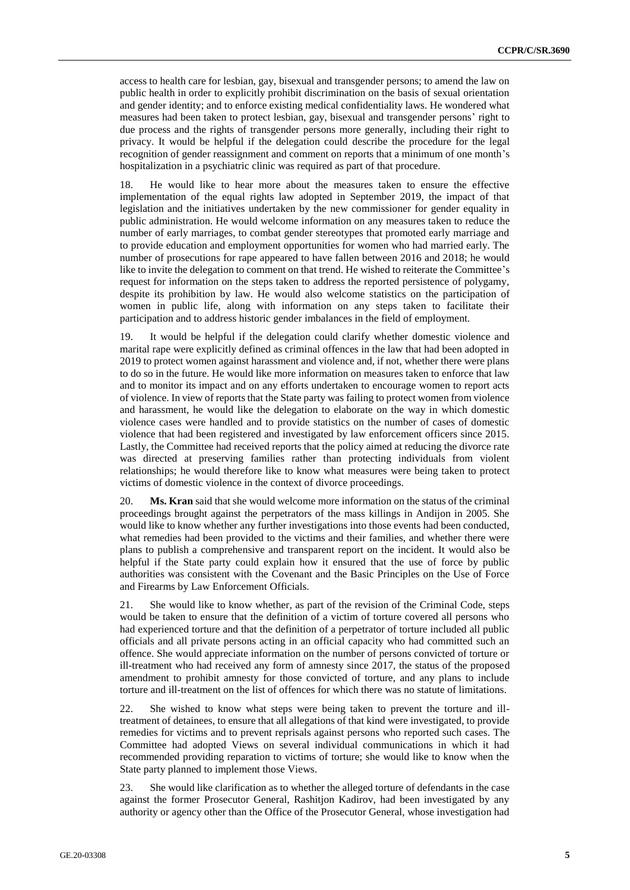access to health care for lesbian, gay, bisexual and transgender persons; to amend the law on public health in order to explicitly prohibit discrimination on the basis of sexual orientation and gender identity; and to enforce existing medical confidentiality laws. He wondered what measures had been taken to protect lesbian, gay, bisexual and transgender persons' right to due process and the rights of transgender persons more generally, including their right to privacy. It would be helpful if the delegation could describe the procedure for the legal recognition of gender reassignment and comment on reports that a minimum of one month's hospitalization in a psychiatric clinic was required as part of that procedure.

18. He would like to hear more about the measures taken to ensure the effective implementation of the equal rights law adopted in September 2019, the impact of that legislation and the initiatives undertaken by the new commissioner for gender equality in public administration. He would welcome information on any measures taken to reduce the number of early marriages, to combat gender stereotypes that promoted early marriage and to provide education and employment opportunities for women who had married early. The number of prosecutions for rape appeared to have fallen between 2016 and 2018; he would like to invite the delegation to comment on that trend. He wished to reiterate the Committee's request for information on the steps taken to address the reported persistence of polygamy, despite its prohibition by law. He would also welcome statistics on the participation of women in public life, along with information on any steps taken to facilitate their participation and to address historic gender imbalances in the field of employment.

19. It would be helpful if the delegation could clarify whether domestic violence and marital rape were explicitly defined as criminal offences in the law that had been adopted in 2019 to protect women against harassment and violence and, if not, whether there were plans to do so in the future. He would like more information on measures taken to enforce that law and to monitor its impact and on any efforts undertaken to encourage women to report acts of violence. In view of reports that the State party was failing to protect women from violence and harassment, he would like the delegation to elaborate on the way in which domestic violence cases were handled and to provide statistics on the number of cases of domestic violence that had been registered and investigated by law enforcement officers since 2015. Lastly, the Committee had received reports that the policy aimed at reducing the divorce rate was directed at preserving families rather than protecting individuals from violent relationships; he would therefore like to know what measures were being taken to protect victims of domestic violence in the context of divorce proceedings.

20. **Ms. Kran** said that she would welcome more information on the status of the criminal proceedings brought against the perpetrators of the mass killings in Andijon in 2005. She would like to know whether any further investigations into those events had been conducted, what remedies had been provided to the victims and their families, and whether there were plans to publish a comprehensive and transparent report on the incident. It would also be helpful if the State party could explain how it ensured that the use of force by public authorities was consistent with the Covenant and the Basic Principles on the Use of Force and Firearms by Law Enforcement Officials.

21. She would like to know whether, as part of the revision of the Criminal Code, steps would be taken to ensure that the definition of a victim of torture covered all persons who had experienced torture and that the definition of a perpetrator of torture included all public officials and all private persons acting in an official capacity who had committed such an offence. She would appreciate information on the number of persons convicted of torture or ill-treatment who had received any form of amnesty since 2017, the status of the proposed amendment to prohibit amnesty for those convicted of torture, and any plans to include torture and ill-treatment on the list of offences for which there was no statute of limitations.

22. She wished to know what steps were being taken to prevent the torture and illtreatment of detainees, to ensure that all allegations of that kind were investigated, to provide remedies for victims and to prevent reprisals against persons who reported such cases. The Committee had adopted Views on several individual communications in which it had recommended providing reparation to victims of torture; she would like to know when the State party planned to implement those Views.

23. She would like clarification as to whether the alleged torture of defendants in the case against the former Prosecutor General, Rashitjon Kadirov, had been investigated by any authority or agency other than the Office of the Prosecutor General, whose investigation had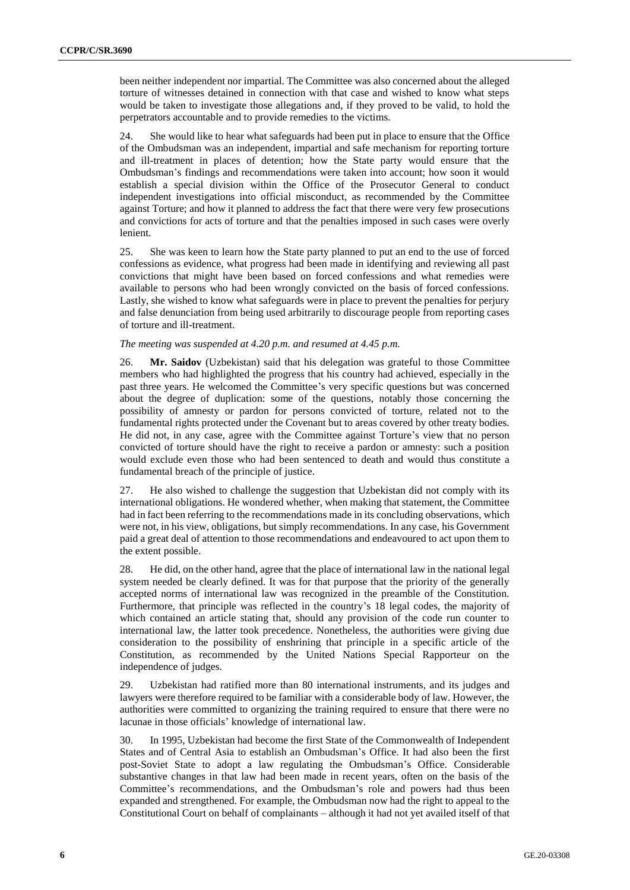been neither independent nor impartial. The Committee was also concerned about the alleged torture of witnesses detained in connection with that case and wished to know what steps would be taken to investigate those allegations and, if they proved to be valid, to hold the perpetrators accountable and to provide remedies to the victims.

24. She would like to hear what safeguards had been put in place to ensure that the Office of the Ombudsman was an independent, impartial and safe mechanism for reporting torture and ill-treatment in places of detention; how the State party would ensure that the Ombudsman's findings and recommendations were taken into account; how soon it would establish a special division within the Office of the Prosecutor General to conduct independent investigations into official misconduct, as recommended by the Committee against Torture; and how it planned to address the fact that there were very few prosecutions and convictions for acts of torture and that the penalties imposed in such cases were overly lenient.

25. She was keen to learn how the State party planned to put an end to the use of forced confessions as evidence, what progress had been made in identifying and reviewing all past convictions that might have been based on forced confessions and what remedies were available to persons who had been wrongly convicted on the basis of forced confessions. Lastly, she wished to know what safeguards were in place to prevent the penalties for perjury and false denunciation from being used arbitrarily to discourage people from reporting cases of torture and ill-treatment.

## *The meeting was suspended at 4.20 p.m. and resumed at 4.45 p.m.*

26. **Mr. Saidov** (Uzbekistan) said that his delegation was grateful to those Committee members who had highlighted the progress that his country had achieved, especially in the past three years. He welcomed the Committee's very specific questions but was concerned about the degree of duplication: some of the questions, notably those concerning the possibility of amnesty or pardon for persons convicted of torture, related not to the fundamental rights protected under the Covenant but to areas covered by other treaty bodies. He did not, in any case, agree with the Committee against Torture's view that no person convicted of torture should have the right to receive a pardon or amnesty: such a position would exclude even those who had been sentenced to death and would thus constitute a fundamental breach of the principle of justice.

27. He also wished to challenge the suggestion that Uzbekistan did not comply with its international obligations. He wondered whether, when making that statement, the Committee had in fact been referring to the recommendations made in its concluding observations, which were not, in his view, obligations, but simply recommendations. In any case, his Government paid a great deal of attention to those recommendations and endeavoured to act upon them to the extent possible.

28. He did, on the other hand, agree that the place of international law in the national legal system needed be clearly defined. It was for that purpose that the priority of the generally accepted norms of international law was recognized in the preamble of the Constitution. Furthermore, that principle was reflected in the country's 18 legal codes, the majority of which contained an article stating that, should any provision of the code run counter to international law, the latter took precedence. Nonetheless, the authorities were giving due consideration to the possibility of enshrining that principle in a specific article of the Constitution, as recommended by the United Nations Special Rapporteur on the independence of judges.

29. Uzbekistan had ratified more than 80 international instruments, and its judges and lawyers were therefore required to be familiar with a considerable body of law. However, the authorities were committed to organizing the training required to ensure that there were no lacunae in those officials' knowledge of international law.

30. In 1995, Uzbekistan had become the first State of the Commonwealth of Independent States and of Central Asia to establish an Ombudsman's Office. It had also been the first post-Soviet State to adopt a law regulating the Ombudsman's Office. Considerable substantive changes in that law had been made in recent years, often on the basis of the Committee's recommendations, and the Ombudsman's role and powers had thus been expanded and strengthened. For example, the Ombudsman now had the right to appeal to the Constitutional Court on behalf of complainants – although it had not yet availed itself of that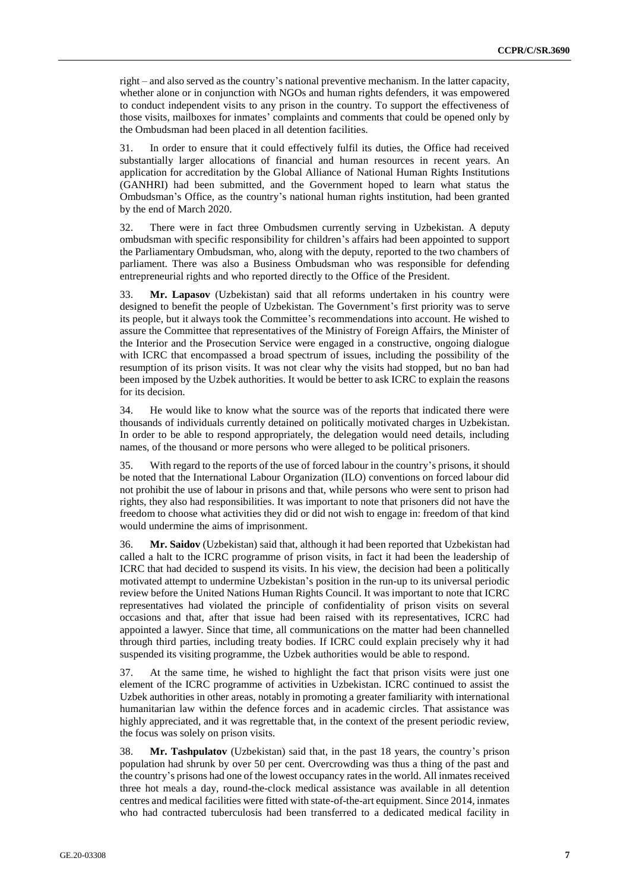right – and also served as the country's national preventive mechanism. In the latter capacity, whether alone or in conjunction with NGOs and human rights defenders, it was empowered to conduct independent visits to any prison in the country. To support the effectiveness of those visits, mailboxes for inmates' complaints and comments that could be opened only by the Ombudsman had been placed in all detention facilities.

31. In order to ensure that it could effectively fulfil its duties, the Office had received substantially larger allocations of financial and human resources in recent years. An application for accreditation by the Global Alliance of National Human Rights Institutions (GANHRI) had been submitted, and the Government hoped to learn what status the Ombudsman's Office, as the country's national human rights institution, had been granted by the end of March 2020.

32. There were in fact three Ombudsmen currently serving in Uzbekistan. A deputy ombudsman with specific responsibility for children's affairs had been appointed to support the Parliamentary Ombudsman, who, along with the deputy, reported to the two chambers of parliament. There was also a Business Ombudsman who was responsible for defending entrepreneurial rights and who reported directly to the Office of the President.

33. **Mr. Lapasov** (Uzbekistan) said that all reforms undertaken in his country were designed to benefit the people of Uzbekistan. The Government's first priority was to serve its people, but it always took the Committee's recommendations into account. He wished to assure the Committee that representatives of the Ministry of Foreign Affairs, the Minister of the Interior and the Prosecution Service were engaged in a constructive, ongoing dialogue with ICRC that encompassed a broad spectrum of issues, including the possibility of the resumption of its prison visits. It was not clear why the visits had stopped, but no ban had been imposed by the Uzbek authorities. It would be better to ask ICRC to explain the reasons for its decision.

34. He would like to know what the source was of the reports that indicated there were thousands of individuals currently detained on politically motivated charges in Uzbekistan. In order to be able to respond appropriately, the delegation would need details, including names, of the thousand or more persons who were alleged to be political prisoners.

35. With regard to the reports of the use of forced labour in the country's prisons, it should be noted that the International Labour Organization (ILO) conventions on forced labour did not prohibit the use of labour in prisons and that, while persons who were sent to prison had rights, they also had responsibilities. It was important to note that prisoners did not have the freedom to choose what activities they did or did not wish to engage in: freedom of that kind would undermine the aims of imprisonment.

36. **Mr. Saidov** (Uzbekistan) said that, although it had been reported that Uzbekistan had called a halt to the ICRC programme of prison visits, in fact it had been the leadership of ICRC that had decided to suspend its visits. In his view, the decision had been a politically motivated attempt to undermine Uzbekistan's position in the run-up to its universal periodic review before the United Nations Human Rights Council. It was important to note that ICRC representatives had violated the principle of confidentiality of prison visits on several occasions and that, after that issue had been raised with its representatives, ICRC had appointed a lawyer. Since that time, all communications on the matter had been channelled through third parties, including treaty bodies. If ICRC could explain precisely why it had suspended its visiting programme, the Uzbek authorities would be able to respond.

37. At the same time, he wished to highlight the fact that prison visits were just one element of the ICRC programme of activities in Uzbekistan. ICRC continued to assist the Uzbek authorities in other areas, notably in promoting a greater familiarity with international humanitarian law within the defence forces and in academic circles. That assistance was highly appreciated, and it was regrettable that, in the context of the present periodic review, the focus was solely on prison visits.

38. **Mr. Tashpulatov** (Uzbekistan) said that, in the past 18 years, the country's prison population had shrunk by over 50 per cent. Overcrowding was thus a thing of the past and the country's prisons had one of the lowest occupancy rates in the world. All inmates received three hot meals a day, round-the-clock medical assistance was available in all detention centres and medical facilities were fitted with state-of-the-art equipment. Since 2014, inmates who had contracted tuberculosis had been transferred to a dedicated medical facility in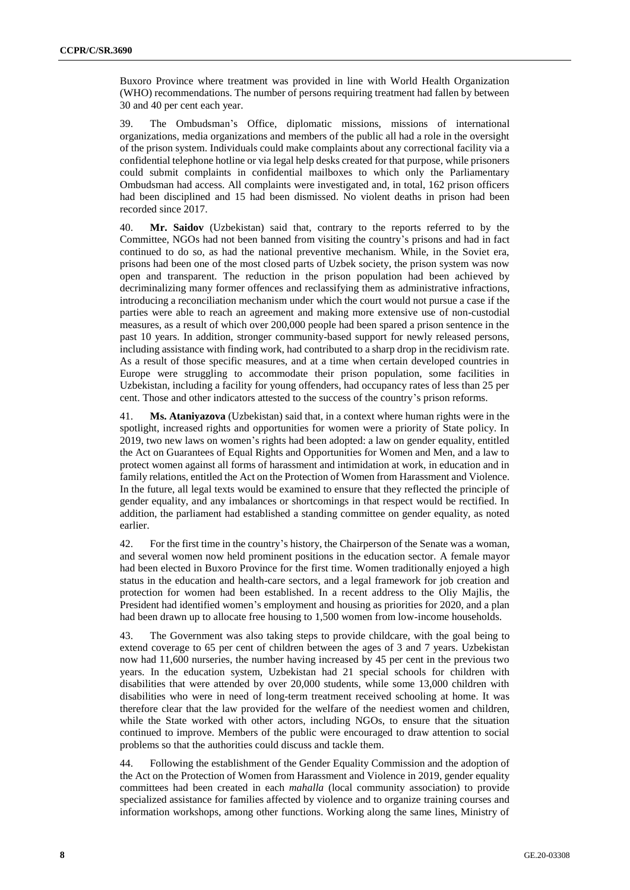Buxoro Province where treatment was provided in line with World Health Organization (WHO) recommendations. The number of persons requiring treatment had fallen by between 30 and 40 per cent each year.

39. The Ombudsman's Office, diplomatic missions, missions of international organizations, media organizations and members of the public all had a role in the oversight of the prison system. Individuals could make complaints about any correctional facility via a confidential telephone hotline or via legal help desks created for that purpose, while prisoners could submit complaints in confidential mailboxes to which only the Parliamentary Ombudsman had access. All complaints were investigated and, in total, 162 prison officers had been disciplined and 15 had been dismissed. No violent deaths in prison had been recorded since 2017.

40. **Mr. Saidov** (Uzbekistan) said that, contrary to the reports referred to by the Committee, NGOs had not been banned from visiting the country's prisons and had in fact continued to do so, as had the national preventive mechanism. While, in the Soviet era, prisons had been one of the most closed parts of Uzbek society, the prison system was now open and transparent. The reduction in the prison population had been achieved by decriminalizing many former offences and reclassifying them as administrative infractions, introducing a reconciliation mechanism under which the court would not pursue a case if the parties were able to reach an agreement and making more extensive use of non-custodial measures, as a result of which over 200,000 people had been spared a prison sentence in the past 10 years. In addition, stronger community-based support for newly released persons, including assistance with finding work, had contributed to a sharp drop in the recidivism rate. As a result of those specific measures, and at a time when certain developed countries in Europe were struggling to accommodate their prison population, some facilities in Uzbekistan, including a facility for young offenders, had occupancy rates of less than 25 per cent. Those and other indicators attested to the success of the country's prison reforms.

41. **Ms. Ataniyazova** (Uzbekistan) said that, in a context where human rights were in the spotlight, increased rights and opportunities for women were a priority of State policy. In 2019, two new laws on women's rights had been adopted: a law on gender equality, entitled the Act on Guarantees of Equal Rights and Opportunities for Women and Men, and a law to protect women against all forms of harassment and intimidation at work, in education and in family relations, entitled the Act on the Protection of Women from Harassment and Violence. In the future, all legal texts would be examined to ensure that they reflected the principle of gender equality, and any imbalances or shortcomings in that respect would be rectified. In addition, the parliament had established a standing committee on gender equality, as noted earlier.

42. For the first time in the country's history, the Chairperson of the Senate was a woman, and several women now held prominent positions in the education sector. A female mayor had been elected in Buxoro Province for the first time. Women traditionally enjoyed a high status in the education and health-care sectors, and a legal framework for job creation and protection for women had been established. In a recent address to the Oliy Majlis, the President had identified women's employment and housing as priorities for 2020, and a plan had been drawn up to allocate free housing to 1,500 women from low-income households.

43. The Government was also taking steps to provide childcare, with the goal being to extend coverage to 65 per cent of children between the ages of 3 and 7 years. Uzbekistan now had 11,600 nurseries, the number having increased by 45 per cent in the previous two years. In the education system, Uzbekistan had 21 special schools for children with disabilities that were attended by over 20,000 students, while some 13,000 children with disabilities who were in need of long-term treatment received schooling at home. It was therefore clear that the law provided for the welfare of the neediest women and children, while the State worked with other actors, including NGOs, to ensure that the situation continued to improve. Members of the public were encouraged to draw attention to social problems so that the authorities could discuss and tackle them.

44. Following the establishment of the Gender Equality Commission and the adoption of the Act on the Protection of Women from Harassment and Violence in 2019, gender equality committees had been created in each *mahalla* (local community association) to provide specialized assistance for families affected by violence and to organize training courses and information workshops, among other functions. Working along the same lines, Ministry of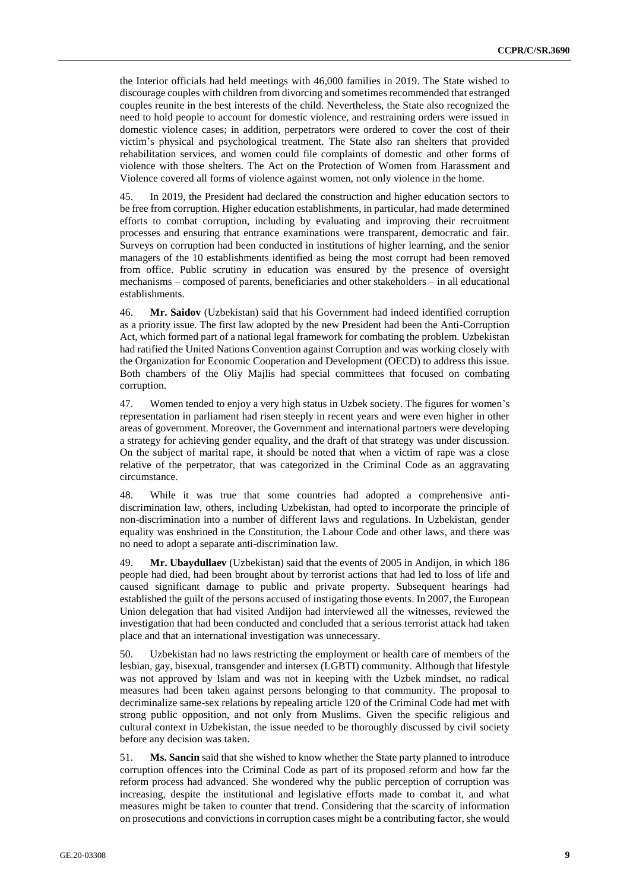the Interior officials had held meetings with 46,000 families in 2019. The State wished to discourage couples with children from divorcing and sometimes recommended that estranged couples reunite in the best interests of the child. Nevertheless, the State also recognized the need to hold people to account for domestic violence, and restraining orders were issued in domestic violence cases; in addition, perpetrators were ordered to cover the cost of their victim's physical and psychological treatment. The State also ran shelters that provided rehabilitation services, and women could file complaints of domestic and other forms of violence with those shelters. The Act on the Protection of Women from Harassment and Violence covered all forms of violence against women, not only violence in the home.

45. In 2019, the President had declared the construction and higher education sectors to be free from corruption. Higher education establishments, in particular, had made determined efforts to combat corruption, including by evaluating and improving their recruitment processes and ensuring that entrance examinations were transparent, democratic and fair. Surveys on corruption had been conducted in institutions of higher learning, and the senior managers of the 10 establishments identified as being the most corrupt had been removed from office. Public scrutiny in education was ensured by the presence of oversight mechanisms – composed of parents, beneficiaries and other stakeholders – in all educational establishments.

46. **Mr. Saidov** (Uzbekistan) said that his Government had indeed identified corruption as a priority issue. The first law adopted by the new President had been the Anti-Corruption Act, which formed part of a national legal framework for combating the problem. Uzbekistan had ratified the United Nations Convention against Corruption and was working closely with the Organization for Economic Cooperation and Development (OECD) to address this issue. Both chambers of the Oliy Majlis had special committees that focused on combating corruption.

47. Women tended to enjoy a very high status in Uzbek society. The figures for women's representation in parliament had risen steeply in recent years and were even higher in other areas of government. Moreover, the Government and international partners were developing a strategy for achieving gender equality, and the draft of that strategy was under discussion. On the subject of marital rape, it should be noted that when a victim of rape was a close relative of the perpetrator, that was categorized in the Criminal Code as an aggravating circumstance.

48. While it was true that some countries had adopted a comprehensive antidiscrimination law, others, including Uzbekistan, had opted to incorporate the principle of non-discrimination into a number of different laws and regulations. In Uzbekistan, gender equality was enshrined in the Constitution, the Labour Code and other laws, and there was no need to adopt a separate anti-discrimination law.

49. **Mr. Ubaydullaev** (Uzbekistan) said that the events of 2005 in Andijon, in which 186 people had died, had been brought about by terrorist actions that had led to loss of life and caused significant damage to public and private property. Subsequent hearings had established the guilt of the persons accused of instigating those events. In 2007, the European Union delegation that had visited Andijon had interviewed all the witnesses, reviewed the investigation that had been conducted and concluded that a serious terrorist attack had taken place and that an international investigation was unnecessary.

50. Uzbekistan had no laws restricting the employment or health care of members of the lesbian, gay, bisexual, transgender and intersex (LGBTI) community. Although that lifestyle was not approved by Islam and was not in keeping with the Uzbek mindset, no radical measures had been taken against persons belonging to that community. The proposal to decriminalize same-sex relations by repealing article 120 of the Criminal Code had met with strong public opposition, and not only from Muslims. Given the specific religious and cultural context in Uzbekistan, the issue needed to be thoroughly discussed by civil society before any decision was taken.

51. **Ms. Sancin** said that she wished to know whether the State party planned to introduce corruption offences into the Criminal Code as part of its proposed reform and how far the reform process had advanced. She wondered why the public perception of corruption was increasing, despite the institutional and legislative efforts made to combat it, and what measures might be taken to counter that trend. Considering that the scarcity of information on prosecutions and convictions in corruption cases might be a contributing factor, she would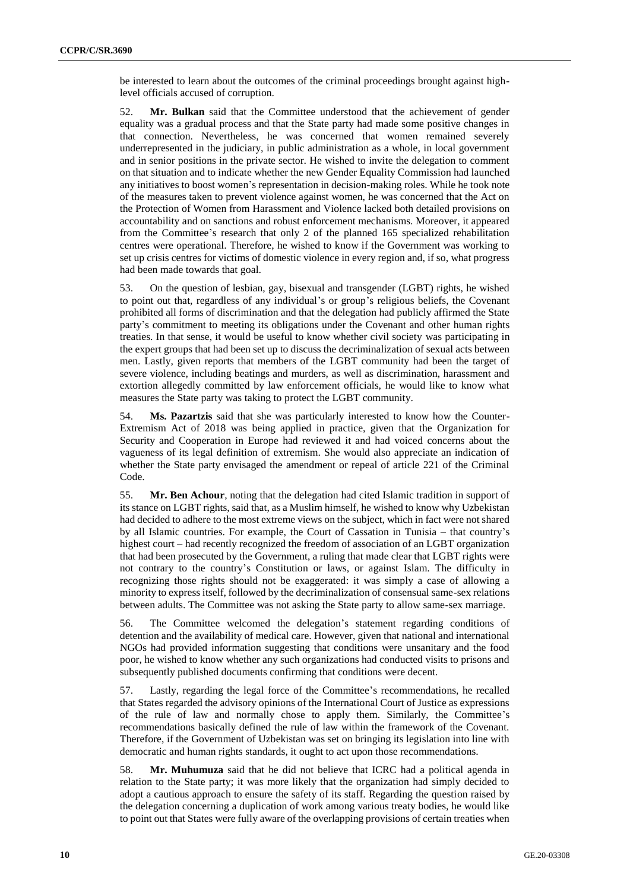be interested to learn about the outcomes of the criminal proceedings brought against highlevel officials accused of corruption.

52. **Mr. Bulkan** said that the Committee understood that the achievement of gender equality was a gradual process and that the State party had made some positive changes in that connection. Nevertheless, he was concerned that women remained severely underrepresented in the judiciary, in public administration as a whole, in local government and in senior positions in the private sector. He wished to invite the delegation to comment on that situation and to indicate whether the new Gender Equality Commission had launched any initiatives to boost women's representation in decision-making roles. While he took note of the measures taken to prevent violence against women, he was concerned that the Act on the Protection of Women from Harassment and Violence lacked both detailed provisions on accountability and on sanctions and robust enforcement mechanisms. Moreover, it appeared from the Committee's research that only 2 of the planned 165 specialized rehabilitation centres were operational. Therefore, he wished to know if the Government was working to set up crisis centres for victims of domestic violence in every region and, if so, what progress had been made towards that goal.

53. On the question of lesbian, gay, bisexual and transgender (LGBT) rights, he wished to point out that, regardless of any individual's or group's religious beliefs, the Covenant prohibited all forms of discrimination and that the delegation had publicly affirmed the State party's commitment to meeting its obligations under the Covenant and other human rights treaties. In that sense, it would be useful to know whether civil society was participating in the expert groups that had been set up to discuss the decriminalization of sexual acts between men. Lastly, given reports that members of the LGBT community had been the target of severe violence, including beatings and murders, as well as discrimination, harassment and extortion allegedly committed by law enforcement officials, he would like to know what measures the State party was taking to protect the LGBT community.

54. **Ms. Pazartzis** said that she was particularly interested to know how the Counter-Extremism Act of 2018 was being applied in practice, given that the Organization for Security and Cooperation in Europe had reviewed it and had voiced concerns about the vagueness of its legal definition of extremism. She would also appreciate an indication of whether the State party envisaged the amendment or repeal of article 221 of the Criminal Code.

55. **Mr. Ben Achour**, noting that the delegation had cited Islamic tradition in support of its stance on LGBT rights, said that, as a Muslim himself, he wished to know why Uzbekistan had decided to adhere to the most extreme views on the subject, which in fact were not shared by all Islamic countries. For example, the Court of Cassation in Tunisia – that country's highest court – had recently recognized the freedom of association of an LGBT organization that had been prosecuted by the Government, a ruling that made clear that LGBT rights were not contrary to the country's Constitution or laws, or against Islam. The difficulty in recognizing those rights should not be exaggerated: it was simply a case of allowing a minority to express itself, followed by the decriminalization of consensual same-sex relations between adults. The Committee was not asking the State party to allow same-sex marriage.

56. The Committee welcomed the delegation's statement regarding conditions of detention and the availability of medical care. However, given that national and international NGOs had provided information suggesting that conditions were unsanitary and the food poor, he wished to know whether any such organizations had conducted visits to prisons and subsequently published documents confirming that conditions were decent.

57. Lastly, regarding the legal force of the Committee's recommendations, he recalled that States regarded the advisory opinions of the International Court of Justice as expressions of the rule of law and normally chose to apply them. Similarly, the Committee's recommendations basically defined the rule of law within the framework of the Covenant. Therefore, if the Government of Uzbekistan was set on bringing its legislation into line with democratic and human rights standards, it ought to act upon those recommendations.

58. **Mr. Muhumuza** said that he did not believe that ICRC had a political agenda in relation to the State party; it was more likely that the organization had simply decided to adopt a cautious approach to ensure the safety of its staff. Regarding the question raised by the delegation concerning a duplication of work among various treaty bodies, he would like to point out that States were fully aware of the overlapping provisions of certain treaties when